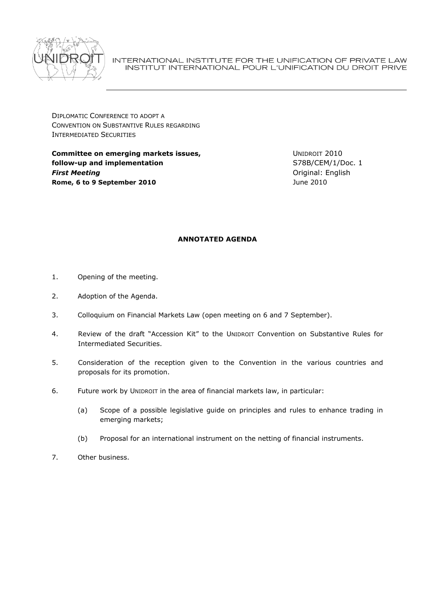

INTERNATIONAL INSTITUTE FOR THE UNIFICATION OF PRIVATE LAW INSTITUT INTERNATIONAL POUR L'UNIFICATION DU DROIT PRIVE

DIPLOMATIC CONFERENCE TO ADOPT A CONVENTION ON SUBSTANTIVE RULES REGARDING INTERMEDIATED SECURITIES

**Committee on emerging markets issues, follow-up and implementation** *First Meeting* **Rome, 6 to 9 September 2010**

UNIDROIT 2010 S78B/CEM/1/Doc. 1 Original: English June 2010

# **ANNOTATED AGENDA**

- 1. Opening of the meeting.
- 2. Adoption of the Agenda.
- 3. Colloquium on Financial Markets Law (open meeting on 6 and 7 September).
- 4. Review of the draft "Accession Kit" to the UNIDROIT Convention on Substantive Rules for Intermediated Securities.
- 5. Consideration of the reception given to the Convention in the various countries and proposals for its promotion.
- 6. Future work by UNIDROIT in the area of financial markets law, in particular:
	- (a) Scope of a possible legislative guide on principles and rules to enhance trading in emerging markets;
	- (b) Proposal for an international instrument on the netting of financial instruments.
- 7. Other business.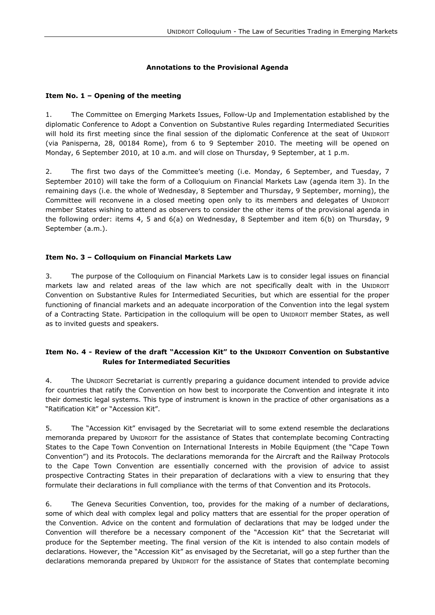# **Annotations to the Provisional Agenda**

## **Item No. 1 – Opening of the meeting**

1. The Committee on Emerging Markets Issues, Follow-Up and Implementation established by the diplomatic Conference to Adopt a Convention on Substantive Rules regarding Intermediated Securities will hold its first meeting since the final session of the diplomatic Conference at the seat of UNIDROIT (via Panisperna, 28, 00184 Rome), from 6 to 9 September 2010. The meeting will be opened on Monday, 6 September 2010, at 10 a.m. and will close on Thursday, 9 September, at 1 p.m.

2. The first two days of the Committee's meeting (i.e. Monday, 6 September, and Tuesday, 7 September 2010) will take the form of a Colloquium on Financial Markets Law (agenda item 3). In the remaining days (i.e. the whole of Wednesday, 8 September and Thursday, 9 September, morning), the Committee will reconvene in a closed meeting open only to its members and delegates of UNIDROIT member States wishing to attend as observers to consider the other items of the provisional agenda in the following order: items 4, 5 and 6(a) on Wednesday, 8 September and item 6(b) on Thursday, 9 September (a.m.).

# **Item No. 3 – Colloquium on Financial Markets Law**

3. The purpose of the Colloquium on Financial Markets Law is to consider legal issues on financial markets law and related areas of the law which are not specifically dealt with in the UNIDROIT Convention on Substantive Rules for Intermediated Securities, but which are essential for the proper functioning of financial markets and an adequate incorporation of the Convention into the legal system of a Contracting State. Participation in the colloquium will be open to UNIDROIT member States, as well as to invited guests and speakers.

# **Item No. 4 - Review of the draft "Accession Kit" to the UNIDROIT Convention on Substantive Rules for Intermediated Securities**

4. The UNIDROIT Secretariat is currently preparing a guidance document intended to provide advice for countries that ratify the Convention on how best to incorporate the Convention and integrate it into their domestic legal systems. This type of instrument is known in the practice of other organisations as a "Ratification Kit" or "Accession Kit".

5. The "Accession Kit" envisaged by the Secretariat will to some extend resemble the declarations memoranda prepared by UNIDROIT for the assistance of States that contemplate becoming Contracting States to the Cape Town Convention on International Interests in Mobile Equipment (the "Cape Town Convention") and its Protocols. The declarations memoranda for the Aircraft and the Railway Protocols to the Cape Town Convention are essentially concerned with the provision of advice to assist prospective Contracting States in their preparation of declarations with a view to ensuring that they formulate their declarations in full compliance with the terms of that Convention and its Protocols.

6. The Geneva Securities Convention, too, provides for the making of a number of declarations, some of which deal with complex legal and policy matters that are essential for the proper operation of the Convention. Advice on the content and formulation of declarations that may be lodged under the Convention will therefore be a necessary component of the "Accession Kit" that the Secretariat will produce for the September meeting. The final version of the Kit is intended to also contain models of declarations. However, the "Accession Kit" as envisaged by the Secretariat, will go a step further than the declarations memoranda prepared by UNIDROIT for the assistance of States that contemplate becoming